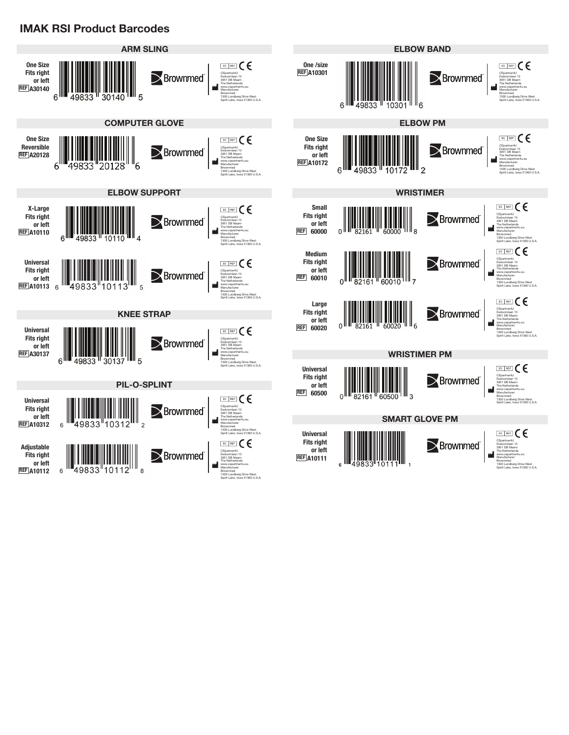## **IMAK RSI Product Barcodes**